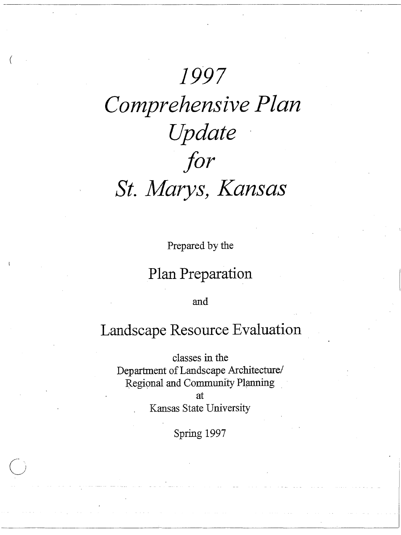### 1997

# Comprehensive Plan Update for St. Marys, Kansas

Prepared by the

#### Plan Preparation

and

#### Landscape Resource Evaluation

classes in the Department of Landscape Architecture/ Regional and Community Planning

at.

Kansas State University

Spring 1997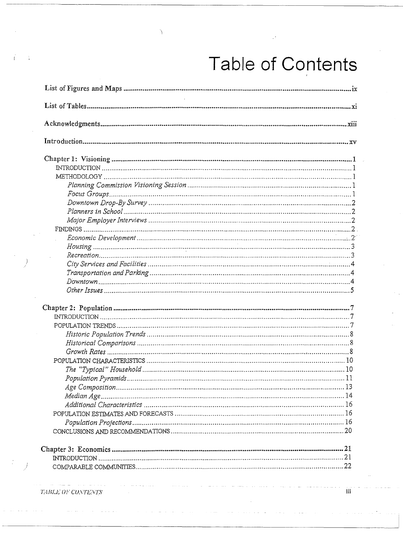# Table of Contents

| $\sim 10^{11}$ |
|----------------|
|                |
|                |
|                |
|                |
|                |
|                |
|                |
|                |
|                |
|                |
|                |
|                |
|                |
|                |
|                |
|                |
|                |
|                |
|                |
|                |
|                |
|                |
|                |
|                |
|                |
|                |
|                |
|                |
|                |
|                |
|                |
|                |
|                |
|                |
|                |
|                |
|                |
|                |
|                |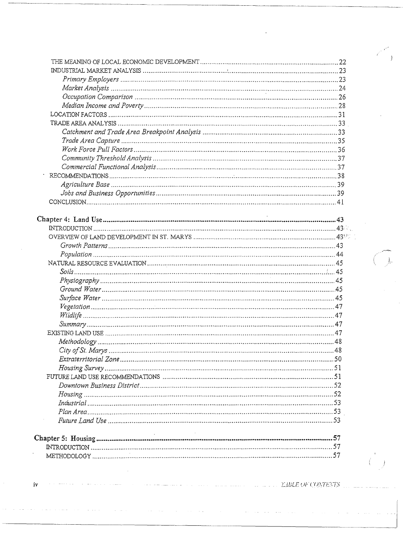| 48 |
|----|
|    |
|    |
|    |
|    |
|    |
|    |
|    |
|    |
|    |
|    |
|    |
|    |

الواري والمتعاطف والمستحدث والمتار

 $\sim 10^7$ 

 $\langle\cdot,\cdot\rangle$  ,  $\langle\cdot,\cdot\rangle$ 

 $\sim$ 

 $\sim$   $\sim$  $\mathbb{Z}^2$  **EVALUATE OF CONTENTS** 

 $\langle \rangle$ 

 $\sim$   $\sim$ 

 $i\mathbf{v}$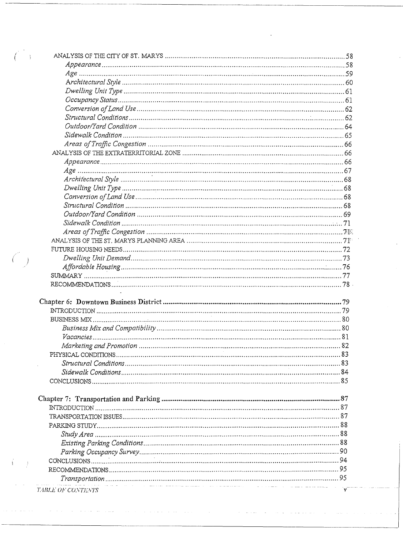|                                                                                                                                            | 82 |
|--------------------------------------------------------------------------------------------------------------------------------------------|----|
|                                                                                                                                            |    |
|                                                                                                                                            |    |
|                                                                                                                                            |    |
|                                                                                                                                            |    |
|                                                                                                                                            |    |
|                                                                                                                                            |    |
|                                                                                                                                            |    |
|                                                                                                                                            |    |
|                                                                                                                                            |    |
|                                                                                                                                            |    |
|                                                                                                                                            |    |
|                                                                                                                                            |    |
|                                                                                                                                            |    |
|                                                                                                                                            |    |
|                                                                                                                                            |    |
| n de la provincia de la provincia de la provincia de la provincia de la provincia de la provincia de la provin<br><i>TABLE OF CONTENTS</i> |    |

لسوس والمرادي والمرادي والموادي والمتحدث والمتحدث والمحادث والمحادث

 $\overline{C}$  ).

 $\bigcirc$ 

 $\hat{A}=\hat{A}$ 

 $\mathcal{L}(\mathcal{L}^{\text{max}})$  and  $\mathcal{L}(\mathcal{L}^{\text{max}})$ 

 $\bar{z}$ 

الموارد المستوجب والمناسب

 $\sim$  100  $\mu$ 

∤، بالمعاملة

 $\sim$ 

 $\alpha\in\mathbb{N}$  and

 $\mathbf{r}$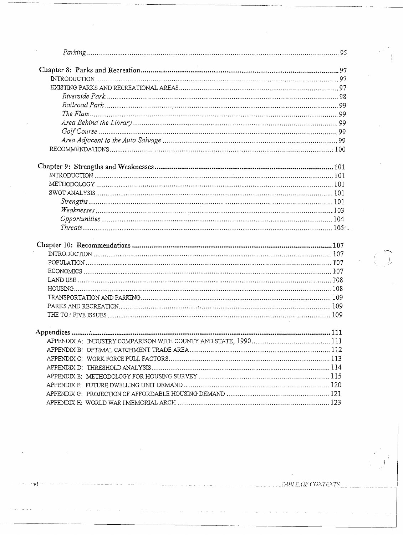$\langle\sigma\sigma\rangle$  .

 $\sigma(\sigma)$  and  $\sigma(\sigma)$  and

 $\sim 10^6$ 

 $\mathcal{L}_{\mathcal{A}}$ 

 $\label{eq:2.1} \frac{1}{\sqrt{2\pi}}\int_{0}^{\infty}\frac{1}{\sqrt{2\pi}}\left(\frac{1}{\sqrt{2\pi}}\right)^{2\alpha} \frac{1}{\sqrt{2\pi}}\int_{0}^{\infty}\frac{1}{\sqrt{2\pi}}\frac{1}{\sqrt{2\pi}}\frac{1}{\sqrt{2\pi}}\frac{1}{\sqrt{2\pi}}\frac{1}{\sqrt{2\pi}}\frac{1}{\sqrt{2\pi}}\frac{1}{\sqrt{2\pi}}\frac{1}{\sqrt{2\pi}}\frac{1}{\sqrt{2\pi}}\frac{1}{\sqrt{2\pi}}\frac{1}{\sqrt{2\pi}}\frac{$ 

νi

**TABLE OF CONTENTS** 

 $\sum_{i=1}^{n}$ 

 $\int$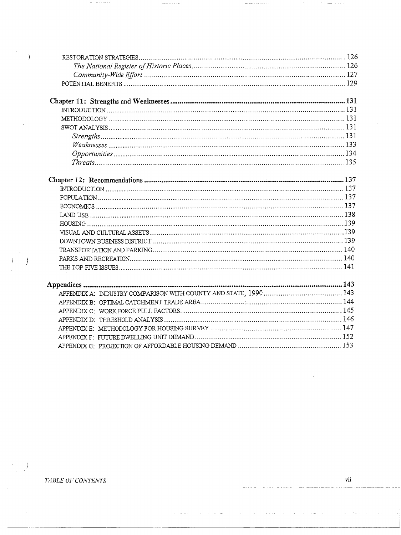$\emph{TABLE OF CONTENTS}$ 

 $\ddot{\phantom{a}}$  .

 $\alpha$  ,  $\alpha$  ,  $\alpha$ 

 $\sim$ 

 $\omega_{\rm c}$  ,  $\omega_{\rm c}$ 

 $\hspace{0.1cm}$  )

 $\bar{z}$ 

 $\bigcup$ 

 $\mathcal{I}$ 

 $\epsilon_{\rm s}$ 

 $\bar{z}$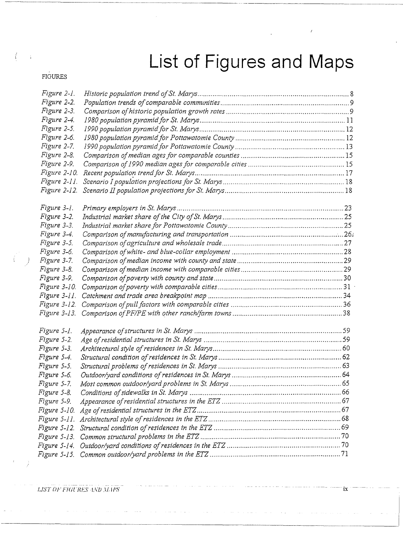## **List of Figures and Maps**

 $\lambda$ 

#### FIGURES

)

| Figure 2-1.  |  |
|--------------|--|
| Figure 2-2.  |  |
| Figure 2-3.  |  |
| Figure 2-4.  |  |
| Figure 2-5.  |  |
| Figure 2-6.  |  |
| Figure 2-7.  |  |
| Figure 2-8.  |  |
| Figure 2-9.  |  |
| Figure 2-10. |  |
| Figure 2-11. |  |
| Figure 2-12. |  |
| Figure 3-1.  |  |
| Figure 3-2.  |  |
| Figure 3-3.  |  |
| Figure 3-4.  |  |
| Figure 3-5.  |  |
| Figure 3-6.  |  |
| Figure 3-7.  |  |
| Figure 3-8.  |  |
| Figure 3-9.  |  |
| Figure 3-10. |  |
| Figure 3-11. |  |
| Figure 3-12. |  |
| Figure 3-13. |  |
| Figure 5-1.  |  |
| Figure 5-2.  |  |
| Figure 5-3.  |  |
| Figure 5-4.  |  |
| Figure 5-5.  |  |
| Figure 5-6.  |  |
| Figure 5-7.  |  |
| Figure 5-8.  |  |
| Figure 5-9.  |  |
| Figure 5-10. |  |
| Figure 5-11. |  |
|              |  |
| Figure 5-13. |  |
| Figure 5-14. |  |
| Figure 5-15. |  |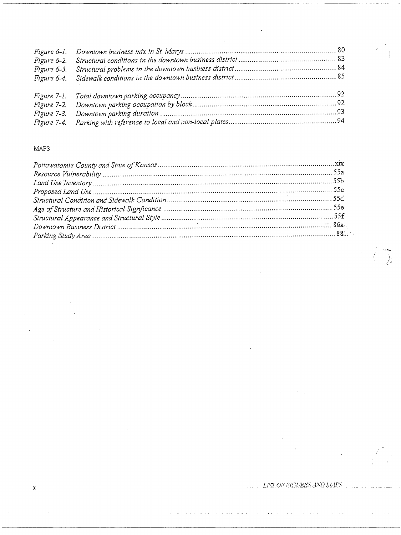$\mathcal{A}$ 

#### MAPS

 $\ddot{\phantom{a}}$ 

 $\bf{x}$ 

 $\ddot{\phantom{0}}$ 

ing<br>Salaman

 $\frac{1}{2}$ 

 $\left(\begin{array}{c} \overline{0} \\ \overline{0} \end{array}\right)$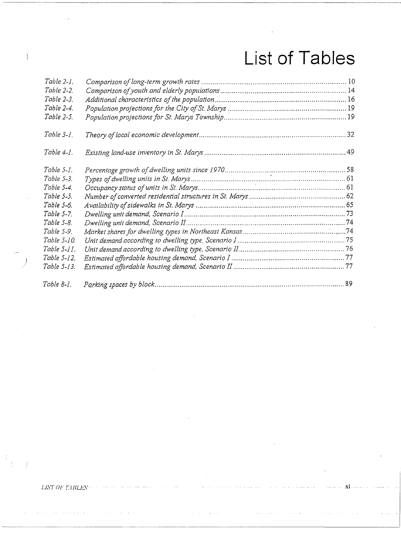## **List of Tables**

| Table 2-1.     |  |
|----------------|--|
| Table 2-2.     |  |
| Table 2-3.     |  |
| Table 2-4.     |  |
| Table 2-5.     |  |
| Table $3-1$ .  |  |
| Table $4-1$ .  |  |
| $Table 5-1.$   |  |
| Table 5-3.     |  |
| Table 5-4.     |  |
| Table 5-5.     |  |
| Table 5-6.     |  |
| Table 5-7.     |  |
| Table 5-8.     |  |
| Table 5-9.     |  |
| Table 5-10.    |  |
| Table $5-11$ . |  |
| Table 5-12.    |  |
| Table 5-13.    |  |
| Table 8-1.     |  |

 $LISTOF$ *T*-UBLES-

 $\begin{pmatrix} 1 & 0 \\ 0 & 0 \\ 0 & 0 \end{pmatrix}$ 

 $\bar{J}$ 

 $\left\{ \right.$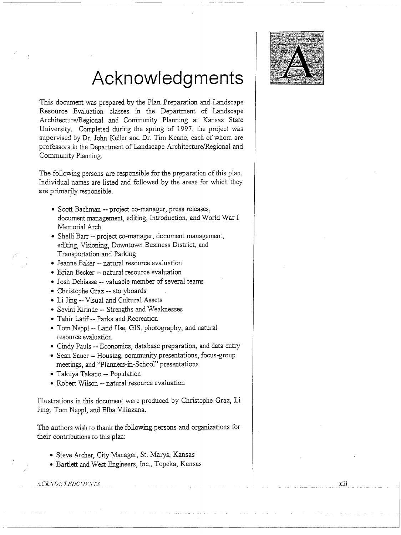

### **Acknowledgments**

This document was prepared by the Plan Preparation and Landscape Resource Evaluation classes in the Department of Landscape Architecture/Regional and Community Planning at Kansas State University. Completed during the spring of 1997, the project was supervised by Dr. John Keller and Dr. Tim Keane, each of whom are professors in the Department of Landscape Architecture/Regional and Community Planning.

The following persons are responsible for the preparation of this plan. Individual names are listed and followed by the areas for which 'they are primarily responsible.

- Scott Bachman -- project co-manager, press releases, document management, editing, Introduction, and World War I Memorial Arch
- Shelli Barr -- project co-manager, document management, editing, Visioning, Downtown Business District, and Transportation and Parking
- Jeanne Baker -- natural resource evaluation
- Brian Becker -- natural resource evaluation
- Josh Debiasse -- valuable member of several teams
- Christophe Graz -- storyboards
- Li Jing -- Visual and Cultural Assets
- Sevini Kirinde -- Strengths and Weaknesses
- Tahir Latif -- Parks and Recreation
- Tom Neppl -- Land Use, GIS, photography, and natural resource evaluation
- Cindy Pauls -- Economics, database preparation, and data entry
- Sean Sauer -- Housing, community presentations, focus-group meetings, and "Planners-in-School" presentations
- Takuya Takano -- Population
- Robert Wilson -- natural resource evaluation

Illustrations in this document were produced by Christophe Graz, Li Jing, Tom Neppl, and Elba Villazana.

The authors wish to thank the following persons and organizations for their contributions to this plan:

- Steve Archer, City Manager, St. Marys, Kansas
- Bartlett and West Engineers, Inc., Topeka, Kansas

**ICKNOWLEDGMENTS** 

I